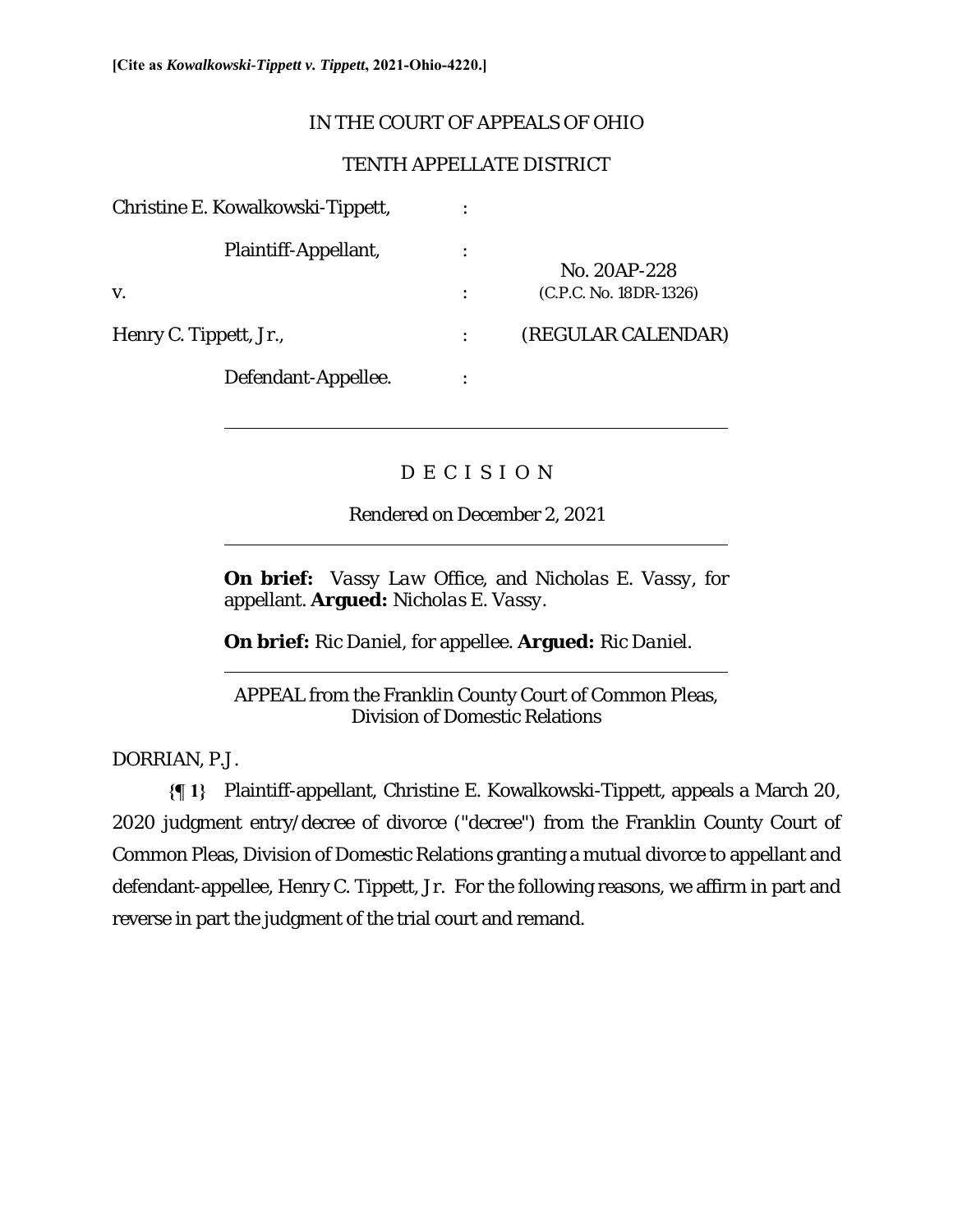# IN THE COURT OF APPEALS OF OHIO

# TENTH APPELLATE DISTRICT

| Christine E. Kowalkowski-Tippett, |                        |
|-----------------------------------|------------------------|
| Plaintiff-Appellant,              | No. 20AP-228           |
| V.                                | (C.P.C. No. 18DR-1326) |
| Henry C. Tippett, Jr.,            | (REGULAR CALENDAR)     |
| Defendant-Appellee.               |                        |

# D E C I S I O N

Rendered on December 2, 2021

**On brief:** *Vassy Law Office,* and *Nicholas E. Vassy*, for appellant. **Argued:** *Nicholas E. Vassy.* 

**On brief:** *Ric Daniel*, for appellee. **Argued:** *Ric Daniel.* 

APPEAL from the Franklin County Court of Common Pleas, Division of Domestic Relations

DORRIAN, P.J.

 $\overline{a}$ 

 $\overline{a}$ 

 $\overline{a}$ 

**{¶ 1}** Plaintiff-appellant, Christine E. Kowalkowski-Tippett, appeals a March 20, 2020 judgment entry/decree of divorce ("decree") from the Franklin County Court of Common Pleas, Division of Domestic Relations granting a mutual divorce to appellant and defendant-appellee, Henry C. Tippett, Jr. For the following reasons, we affirm in part and reverse in part the judgment of the trial court and remand.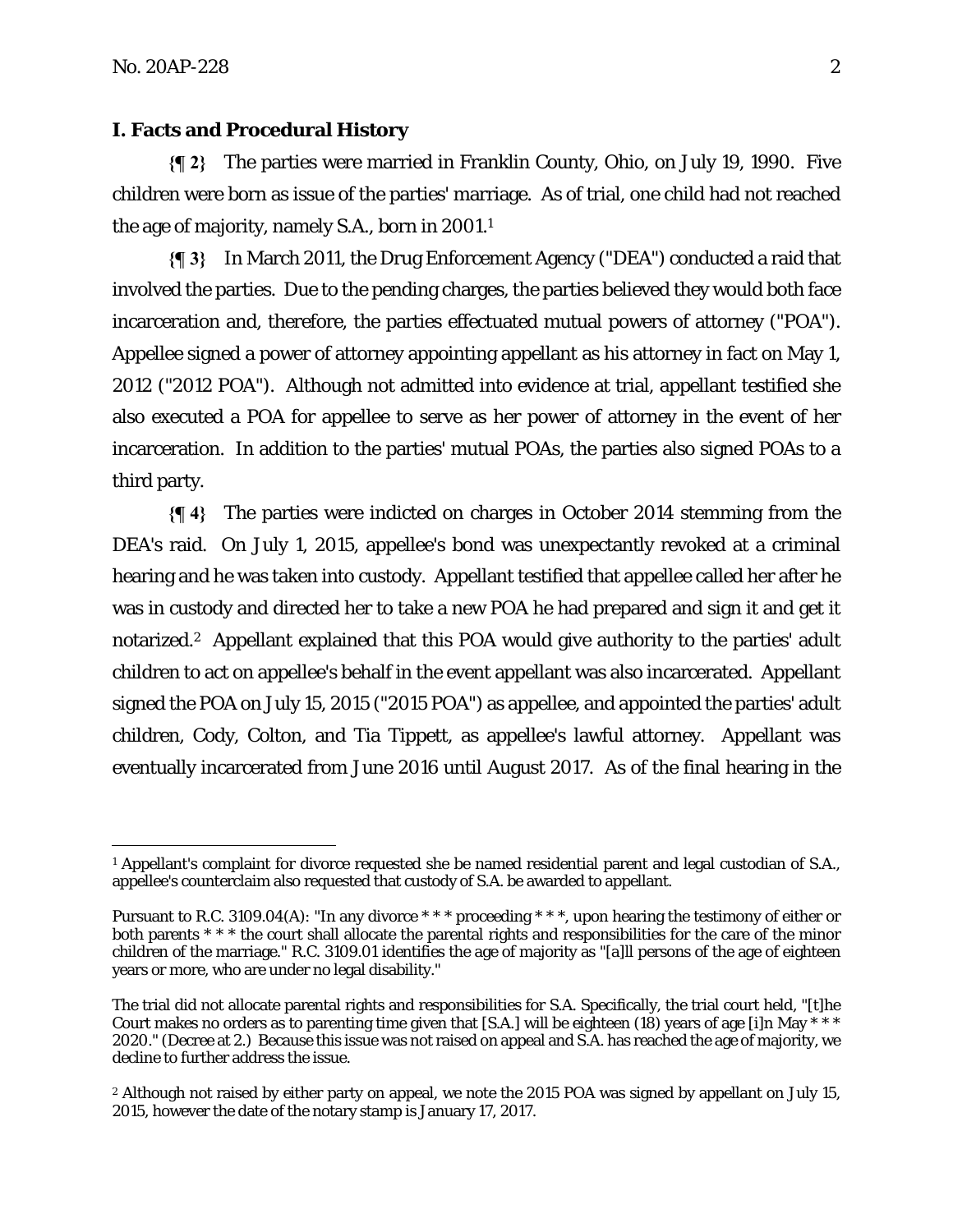#### **I. Facts and Procedural History**

**{¶ 2}** The parties were married in Franklin County, Ohio, on July 19, 1990. Five children were born as issue of the parties' marriage. As of trial, one child had not reached the age of majority, namely S.A., born in 2001.1

**{¶ 3}** In March 2011, the Drug Enforcement Agency ("DEA") conducted a raid that involved the parties. Due to the pending charges, the parties believed they would both face incarceration and, therefore, the parties effectuated mutual powers of attorney ("POA"). Appellee signed a power of attorney appointing appellant as his attorney in fact on May 1, 2012 ("2012 POA"). Although not admitted into evidence at trial, appellant testified she also executed a POA for appellee to serve as her power of attorney in the event of her incarceration. In addition to the parties' mutual POAs, the parties also signed POAs to a third party.

**{¶ 4}** The parties were indicted on charges in October 2014 stemming from the DEA's raid. On July 1, 2015, appellee's bond was unexpectantly revoked at a criminal hearing and he was taken into custody. Appellant testified that appellee called her after he was in custody and directed her to take a new POA he had prepared and sign it and get it notarized.2 Appellant explained that this POA would give authority to the parties' adult children to act on appellee's behalf in the event appellant was also incarcerated. Appellant signed the POA on July 15, 2015 ("2015 POA") as appellee, and appointed the parties' adult children, Cody, Colton, and Tia Tippett, as appellee's lawful attorney. Appellant was eventually incarcerated from June 2016 until August 2017. As of the final hearing in the

<sup>&</sup>lt;sup>1</sup> Appellant's complaint for divorce requested she be named residential parent and legal custodian of S.A., appellee's counterclaim also requested that custody of S.A. be awarded to appellant.

Pursuant to R.C. 3109.04(A): "In any divorce \* \* \* proceeding \* \* \*, upon hearing the testimony of either or both parents \* \* \* the court shall allocate the parental rights and responsibilities for the care of the minor children of the marriage." R.C. 3109.01 identifies the age of majority as "[a]ll persons of the age of eighteen years or more, who are under no legal disability."

The trial did not allocate parental rights and responsibilities for S.A. Specifically, the trial court held, "[t]he Court makes no orders as to parenting time given that [S.A.] will be eighteen (18) years of age [i]n May \* \* \* 2020." (Decree at 2.) Because this issue was not raised on appeal and S.A. has reached the age of majority, we decline to further address the issue.

<sup>2</sup> Although not raised by either party on appeal, we note the 2015 POA was signed by appellant on July 15, 2015, however the date of the notary stamp is January 17, 2017.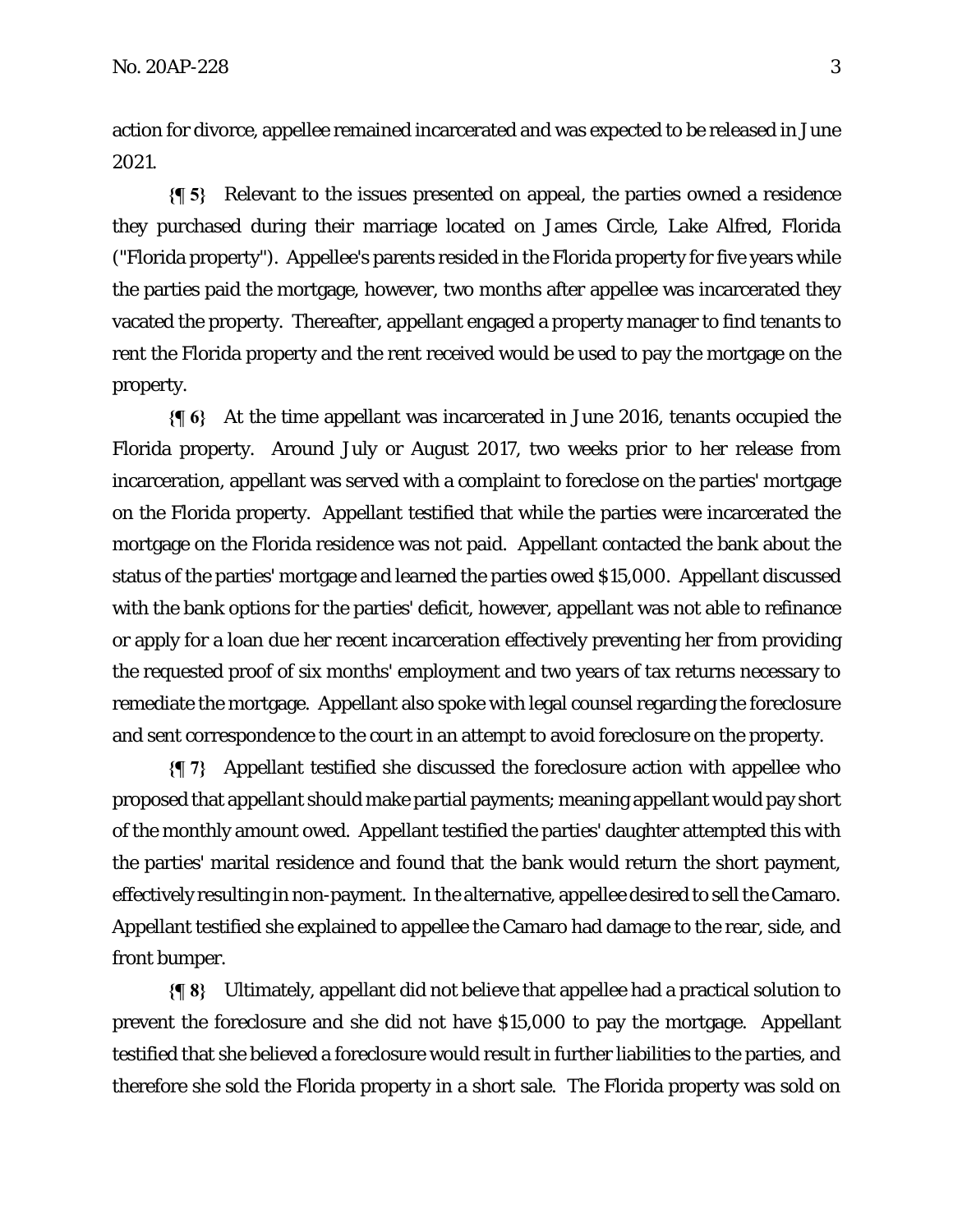action for divorce, appellee remained incarcerated and was expected to be released in June 2021.

**{¶ 5}** Relevant to the issues presented on appeal, the parties owned a residence they purchased during their marriage located on James Circle, Lake Alfred, Florida ("Florida property"). Appellee's parents resided in the Florida property for five years while the parties paid the mortgage, however, two months after appellee was incarcerated they vacated the property. Thereafter, appellant engaged a property manager to find tenants to rent the Florida property and the rent received would be used to pay the mortgage on the property.

**{¶ 6}** At the time appellant was incarcerated in June 2016, tenants occupied the Florida property. Around July or August 2017, two weeks prior to her release from incarceration, appellant was served with a complaint to foreclose on the parties' mortgage on the Florida property. Appellant testified that while the parties were incarcerated the mortgage on the Florida residence was not paid. Appellant contacted the bank about the status of the parties' mortgage and learned the parties owed \$15,000. Appellant discussed with the bank options for the parties' deficit, however, appellant was not able to refinance or apply for a loan due her recent incarceration effectively preventing her from providing the requested proof of six months' employment and two years of tax returns necessary to remediate the mortgage. Appellant also spoke with legal counsel regarding the foreclosure and sent correspondence to the court in an attempt to avoid foreclosure on the property.

**{¶ 7}** Appellant testified she discussed the foreclosure action with appellee who proposed that appellant should make partial payments; meaning appellant would pay short of the monthly amount owed. Appellant testified the parties' daughter attempted this with the parties' marital residence and found that the bank would return the short payment, effectively resulting in non-payment. In the alternative, appellee desired to sell the Camaro. Appellant testified she explained to appellee the Camaro had damage to the rear, side, and front bumper.

**{¶ 8}** Ultimately, appellant did not believe that appellee had a practical solution to prevent the foreclosure and she did not have \$15,000 to pay the mortgage. Appellant testified that she believed a foreclosure would result in further liabilities to the parties, and therefore she sold the Florida property in a short sale. The Florida property was sold on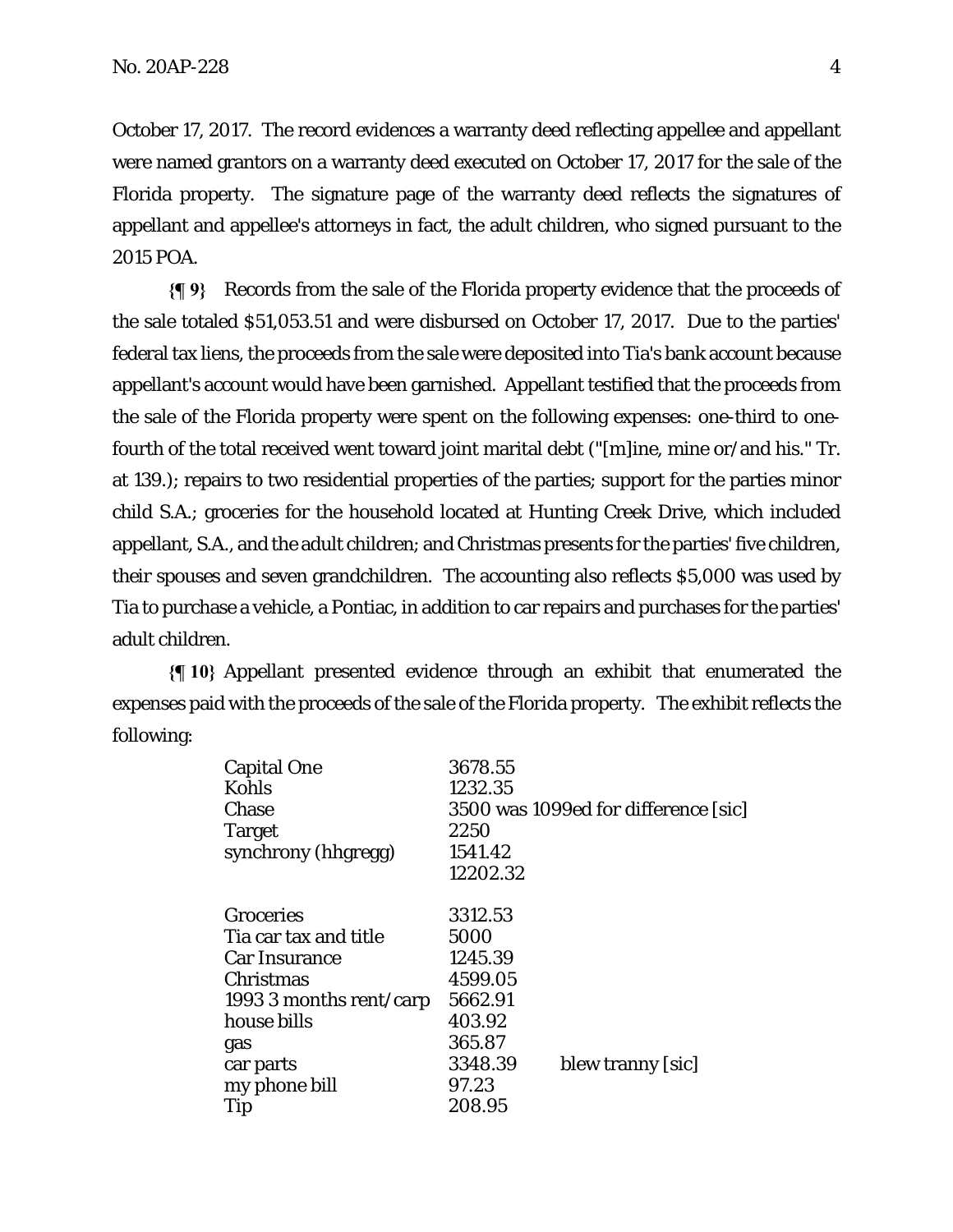October 17, 2017. The record evidences a warranty deed reflecting appellee and appellant were named grantors on a warranty deed executed on October 17, 2017 for the sale of the Florida property. The signature page of the warranty deed reflects the signatures of appellant and appellee's attorneys in fact, the adult children, who signed pursuant to the 2015 POA.

**{¶ 9}** Records from the sale of the Florida property evidence that the proceeds of the sale totaled \$51,053.51 and were disbursed on October 17, 2017. Due to the parties' federal tax liens, the proceeds from the sale were deposited into Tia's bank account because appellant's account would have been garnished. Appellant testified that the proceeds from the sale of the Florida property were spent on the following expenses: one-third to onefourth of the total received went toward joint marital debt ("[m]ine, mine or/and his." Tr. at 139.); repairs to two residential properties of the parties; support for the parties minor child S.A.; groceries for the household located at Hunting Creek Drive, which included appellant, S.A., and the adult children; and Christmas presents for the parties' five children, their spouses and seven grandchildren. The accounting also reflects \$5,000 was used by Tia to purchase a vehicle, a Pontiac, in addition to car repairs and purchases for the parties' adult children.

**{¶ 10}** Appellant presented evidence through an exhibit that enumerated the expenses paid with the proceeds of the sale of the Florida property. The exhibit reflects the following:

| 3678.55  |                                      |
|----------|--------------------------------------|
| 1232.35  |                                      |
|          | 3500 was 1099ed for difference [sic] |
| 2250     |                                      |
| 1541.42  |                                      |
| 12202.32 |                                      |
|          |                                      |
| 3312.53  |                                      |
| 5000     |                                      |
| 1245.39  |                                      |
| 4599.05  |                                      |
| 5662.91  |                                      |
| 403.92   |                                      |
| 365.87   |                                      |
| 3348.39  | blew tranny [sic]                    |
| 97.23    |                                      |
| 208.95   |                                      |
|          |                                      |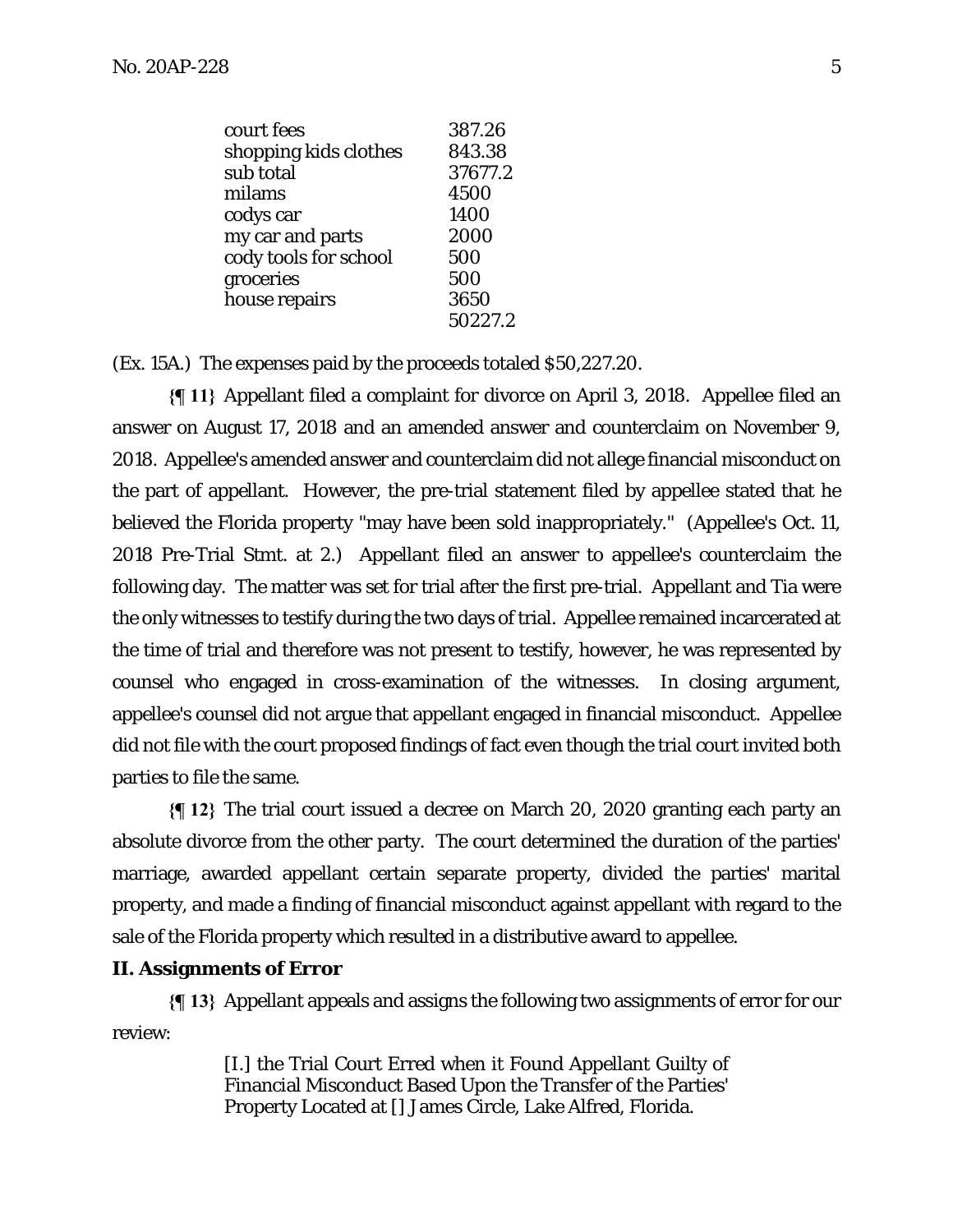| court fees            | 387.26  |
|-----------------------|---------|
| shopping kids clothes | 843.38  |
| sub total             | 37677.2 |
| milams                | 4500    |
| codys car             | 1400    |
| my car and parts      | 2000    |
| cody tools for school | 500     |
| groceries             | 500     |
| house repairs         | 3650    |
|                       | 50227.2 |

(Ex. 15A.) The expenses paid by the proceeds totaled \$50,227.20.

**{¶ 11}** Appellant filed a complaint for divorce on April 3, 2018. Appellee filed an answer on August 17, 2018 and an amended answer and counterclaim on November 9, 2018. Appellee's amended answer and counterclaim did not allege financial misconduct on the part of appellant. However, the pre-trial statement filed by appellee stated that he believed the Florida property "may have been sold inappropriately." (Appellee's Oct. 11, 2018 Pre-Trial Stmt. at 2.) Appellant filed an answer to appellee's counterclaim the following day. The matter was set for trial after the first pre-trial. Appellant and Tia were the only witnesses to testify during the two days of trial. Appellee remained incarcerated at the time of trial and therefore was not present to testify, however, he was represented by counsel who engaged in cross-examination of the witnesses. In closing argument, appellee's counsel did not argue that appellant engaged in financial misconduct. Appellee did not file with the court proposed findings of fact even though the trial court invited both parties to file the same.

**{¶ 12}** The trial court issued a decree on March 20, 2020 granting each party an absolute divorce from the other party. The court determined the duration of the parties' marriage, awarded appellant certain separate property, divided the parties' marital property, and made a finding of financial misconduct against appellant with regard to the sale of the Florida property which resulted in a distributive award to appellee.

#### **II. Assignments of Error**

**{¶ 13}** Appellant appeals and assigns the following two assignments of error for our review:

> [I.] the Trial Court Erred when it Found Appellant Guilty of Financial Misconduct Based Upon the Transfer of the Parties' Property Located at [] James Circle, Lake Alfred, Florida.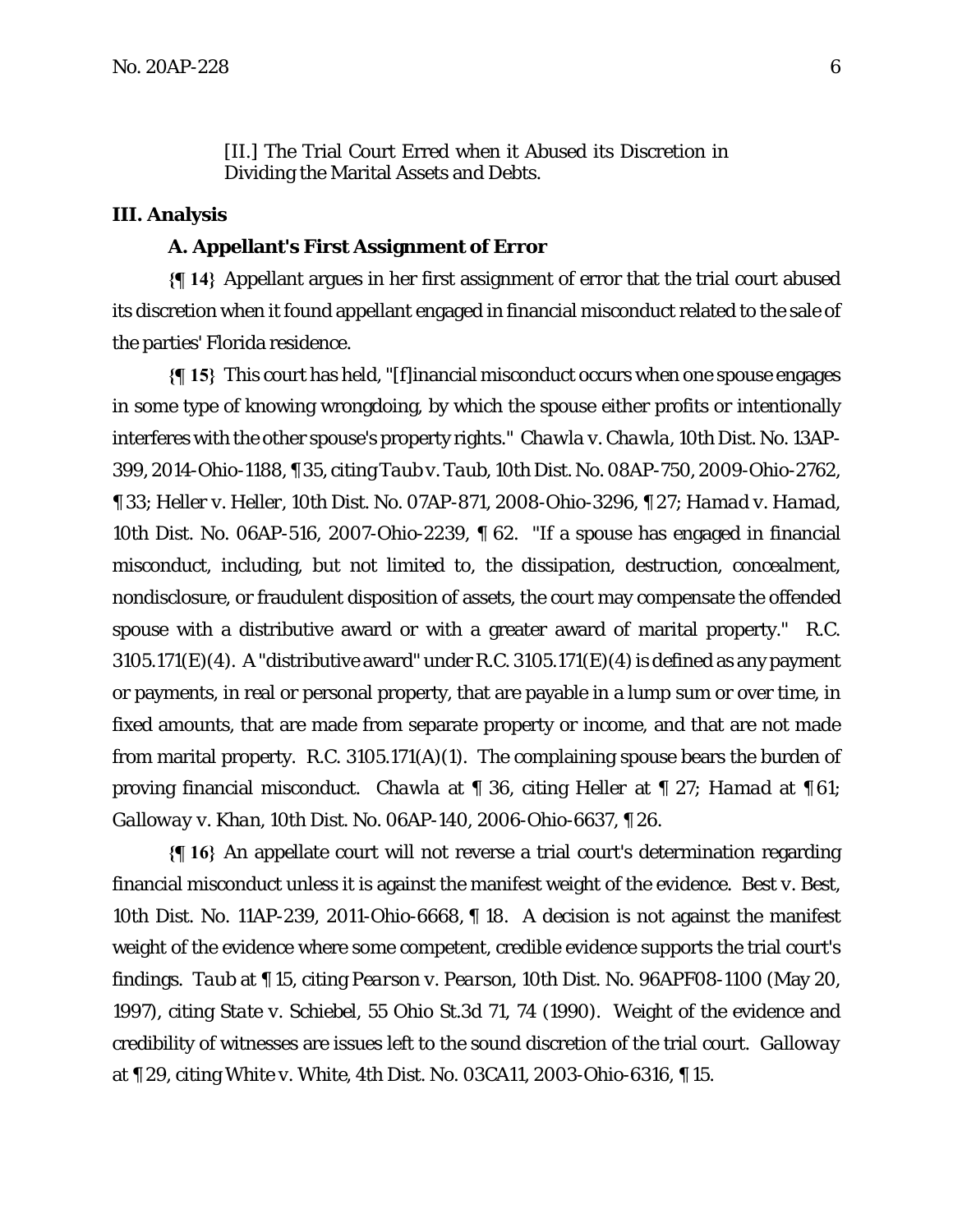[II.] The Trial Court Erred when it Abused its Discretion in Dividing the Marital Assets and Debts.

### **III. Analysis**

#### **A. Appellant's First Assignment of Error**

**{¶ 14}** Appellant argues in her first assignment of error that the trial court abused its discretion when it found appellant engaged in financial misconduct related to the sale of the parties' Florida residence.

**{¶ 15}** This court has held, "[f]inancial misconduct occurs when one spouse engages in some type of knowing wrongdoing, by which the spouse either profits or intentionally interferes with the other spouse's property rights." *Chawla v. Chawla*, 10th Dist. No. 13AP-399, 2014-Ohio-1188, ¶ 35, citing *Taub v. Taub*, 10th Dist. No. 08AP-750, 2009-Ohio-2762, ¶ 33; *Heller v. Heller*, 10th Dist. No. 07AP-871, 2008-Ohio-3296, ¶ 27; *Hamad v. Hamad*, 10th Dist. No. 06AP-516, 2007-Ohio-2239, ¶ 62. "If a spouse has engaged in financial misconduct, including, but not limited to, the dissipation, destruction, concealment, nondisclosure, or fraudulent disposition of assets, the court may compensate the offended spouse with a distributive award or with a greater award of marital property." R.C.  $3105.171(E)(4)$ . A "distributive award" under R.C.  $3105.171(E)(4)$  is defined as any payment or payments, in real or personal property, that are payable in a lump sum or over time, in fixed amounts, that are made from separate property or income, and that are not made from marital property. R.C. 3105.171(A)(1). The complaining spouse bears the burden of proving financial misconduct. *Chawla* at ¶ 36, citing *Heller* at ¶ 27; *Hamad* at ¶ 61; *Galloway v. Khan*, 10th Dist. No. 06AP-140, 2006-Ohio-6637, ¶ 26.

**{¶ 16}** An appellate court will not reverse a trial court's determination regarding financial misconduct unless it is against the manifest weight of the evidence. *Best v. Best*, 10th Dist. No. 11AP-239, 2011-Ohio-6668, ¶ 18. A decision is not against the manifest weight of the evidence where some competent, credible evidence supports the trial court's findings. *Taub* at ¶ 15, citing *Pearson v. Pearson*, 10th Dist. No. 96APF08-1100 (May 20, 1997), citing *State v. Schiebel*, 55 Ohio St.3d 71, 74 (1990). Weight of the evidence and credibility of witnesses are issues left to the sound discretion of the trial court. *Galloway* at ¶ 29, citing *White v. White*, 4th Dist. No. 03CA11, 2003-Ohio-6316, ¶ 15.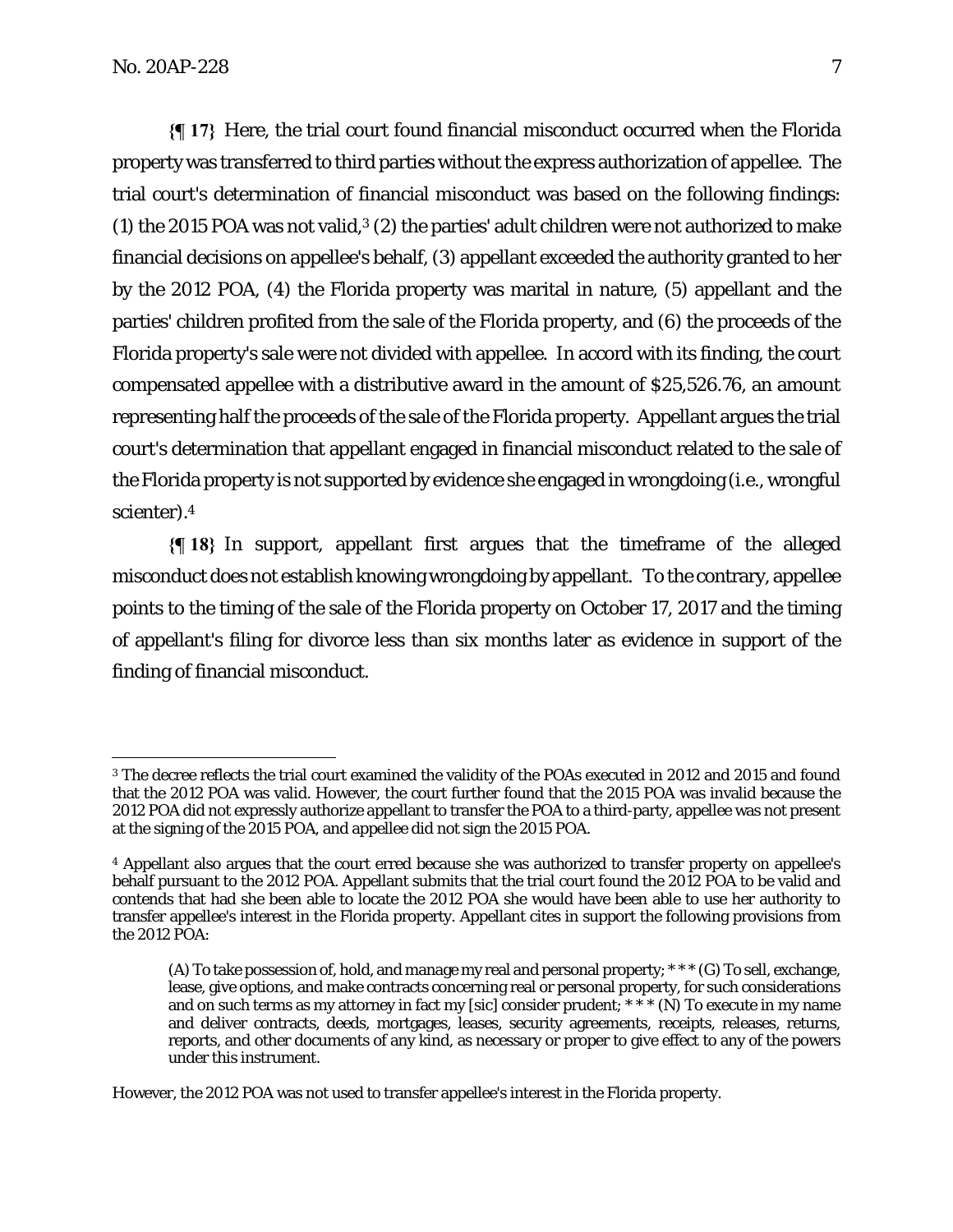**{¶ 17}** Here, the trial court found financial misconduct occurred when the Florida property was transferred to third parties without the express authorization of appellee. The trial court's determination of financial misconduct was based on the following findings: (1) the 2015 POA was not valid, $3$  (2) the parties' adult children were not authorized to make financial decisions on appellee's behalf, (3) appellant exceeded the authority granted to her by the 2012 POA, (4) the Florida property was marital in nature, (5) appellant and the parties' children profited from the sale of the Florida property, and (6) the proceeds of the Florida property's sale were not divided with appellee. In accord with its finding, the court compensated appellee with a distributive award in the amount of \$25,526.76, an amount representing half the proceeds of the sale of the Florida property. Appellant argues the trial court's determination that appellant engaged in financial misconduct related to the sale of the Florida property is not supported by evidence she engaged in wrongdoing (i.e., wrongful scienter).4

**{¶ 18}** In support, appellant first argues that the timeframe of the alleged misconduct does not establish knowing wrongdoing by appellant. To the contrary, appellee points to the timing of the sale of the Florida property on October 17, 2017 and the timing of appellant's filing for divorce less than six months later as evidence in support of the finding of financial misconduct.

However, the 2012 POA was not used to transfer appellee's interest in the Florida property.

<sup>3</sup> The decree reflects the trial court examined the validity of the POAs executed in 2012 and 2015 and found that the 2012 POA was valid. However, the court further found that the 2015 POA was invalid because the 2012 POA did not expressly authorize appellant to transfer the POA to a third-party, appellee was not present at the signing of the 2015 POA, and appellee did not sign the 2015 POA.

<sup>4</sup> Appellant also argues that the court erred because she was authorized to transfer property on appellee's behalf pursuant to the 2012 POA. Appellant submits that the trial court found the 2012 POA to be valid and contends that had she been able to locate the 2012 POA she would have been able to use her authority to transfer appellee's interest in the Florida property. Appellant cites in support the following provisions from the 2012 POA:

<sup>(</sup>A) To take possession of, hold, and manage my real and personal property; \* \* \* (G) To sell, exchange, lease, give options, and make contracts concerning real or personal property, for such considerations and on such terms as my attorney in fact my [sic] consider prudent;  $* * * (N)$  To execute in my name and deliver contracts, deeds, mortgages, leases, security agreements, receipts, releases, returns, reports, and other documents of any kind, as necessary or proper to give effect to any of the powers under this instrument.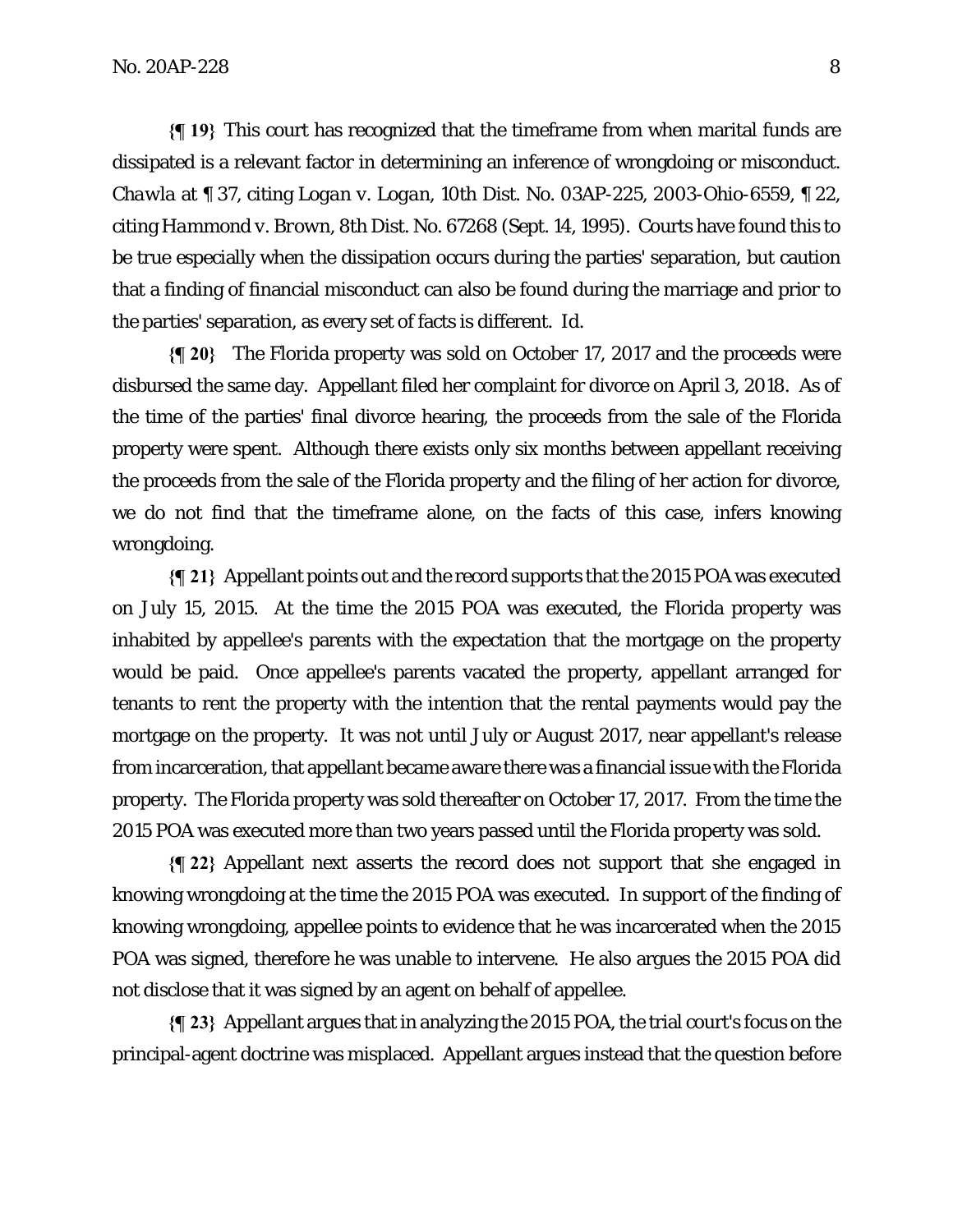**{¶ 19}** This court has recognized that the timeframe from when marital funds are dissipated is a relevant factor in determining an inference of wrongdoing or misconduct. *Chawla* at ¶ 37, citing *Logan v. Logan*, 10th Dist. No. 03AP-225, 2003-Ohio-6559, ¶ 22, citing *Hammond v. Brown*, 8th Dist. No. 67268 (Sept. 14, 1995). Courts have found this to be true especially when the dissipation occurs during the parties' separation, but caution that a finding of financial misconduct can also be found during the marriage and prior to the parties' separation, as every set of facts is different. *Id*.

**{¶ 20}** The Florida property was sold on October 17, 2017 and the proceeds were disbursed the same day. Appellant filed her complaint for divorce on April 3, 2018. As of the time of the parties' final divorce hearing, the proceeds from the sale of the Florida property were spent. Although there exists only six months between appellant receiving the proceeds from the sale of the Florida property and the filing of her action for divorce, we do not find that the timeframe alone, on the facts of this case, infers knowing wrongdoing.

**{¶ 21}** Appellant points out and the record supports that the 2015 POA was executed on July 15, 2015. At the time the 2015 POA was executed, the Florida property was inhabited by appellee's parents with the expectation that the mortgage on the property would be paid. Once appellee's parents vacated the property, appellant arranged for tenants to rent the property with the intention that the rental payments would pay the mortgage on the property. It was not until July or August 2017, near appellant's release from incarceration, that appellant became aware there was a financial issue with the Florida property. The Florida property was sold thereafter on October 17, 2017. From the time the 2015 POA was executed more than two years passed until the Florida property was sold.

**{¶ 22}** Appellant next asserts the record does not support that she engaged in knowing wrongdoing at the time the 2015 POA was executed. In support of the finding of knowing wrongdoing, appellee points to evidence that he was incarcerated when the 2015 POA was signed, therefore he was unable to intervene. He also argues the 2015 POA did not disclose that it was signed by an agent on behalf of appellee.

**{¶ 23}** Appellant argues that in analyzing the 2015 POA, the trial court's focus on the principal-agent doctrine was misplaced. Appellant argues instead that the question before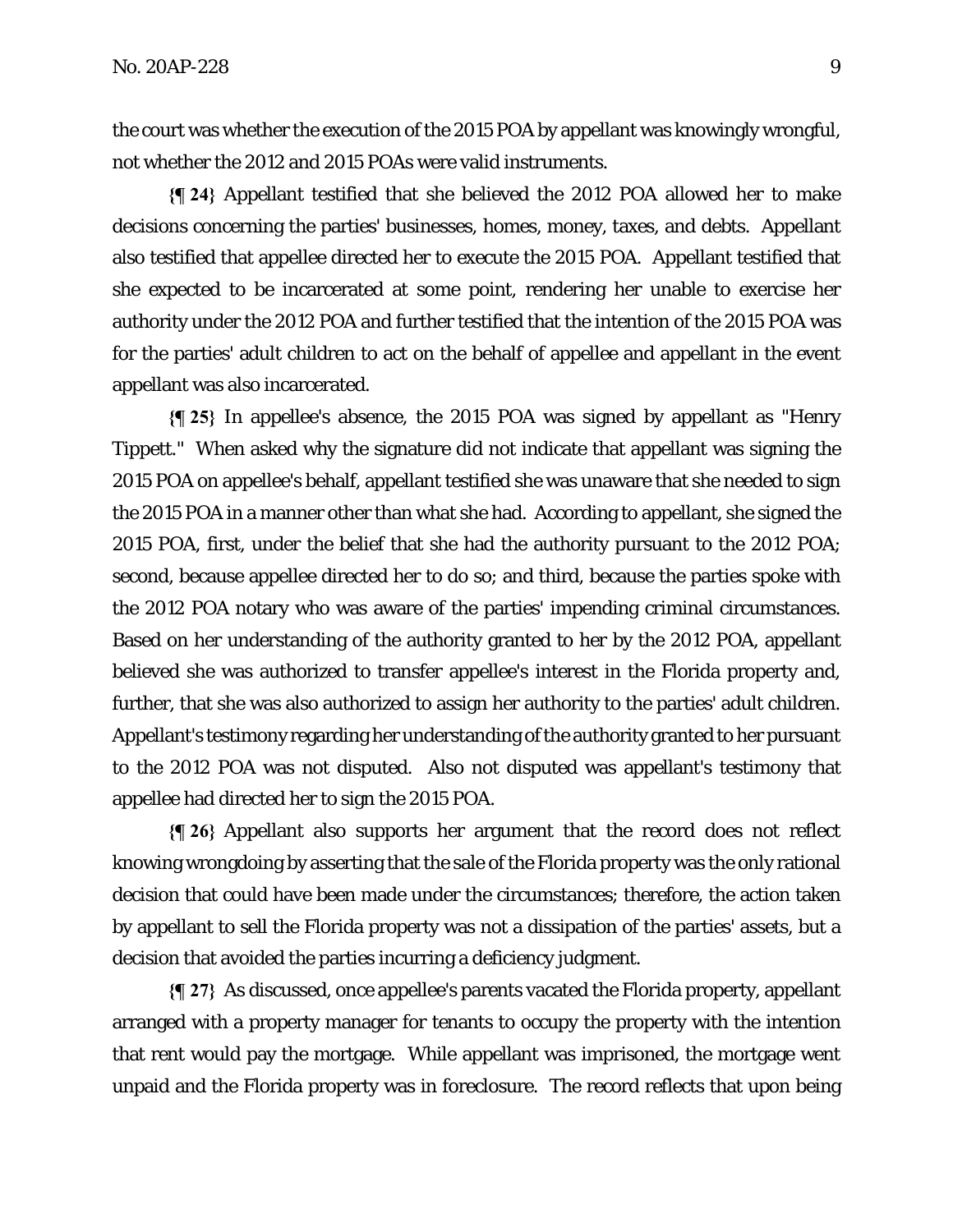the court was whether the execution of the 2015 POA by appellant was knowingly wrongful, not whether the 2012 and 2015 POAs were valid instruments.

**{¶ 24}** Appellant testified that she believed the 2012 POA allowed her to make decisions concerning the parties' businesses, homes, money, taxes, and debts. Appellant also testified that appellee directed her to execute the 2015 POA. Appellant testified that she expected to be incarcerated at some point, rendering her unable to exercise her authority under the 2012 POA and further testified that the intention of the 2015 POA was for the parties' adult children to act on the behalf of appellee and appellant in the event appellant was also incarcerated.

**{¶ 25}** In appellee's absence, the 2015 POA was signed by appellant as "Henry Tippett." When asked why the signature did not indicate that appellant was signing the 2015 POA on appellee's behalf, appellant testified she was unaware that she needed to sign the 2015 POA in a manner other than what she had. According to appellant, she signed the 2015 POA, first, under the belief that she had the authority pursuant to the 2012 POA; second, because appellee directed her to do so; and third, because the parties spoke with the 2012 POA notary who was aware of the parties' impending criminal circumstances. Based on her understanding of the authority granted to her by the 2012 POA, appellant believed she was authorized to transfer appellee's interest in the Florida property and, further, that she was also authorized to assign her authority to the parties' adult children. Appellant's testimony regarding her understanding of the authority granted to her pursuant to the 2012 POA was not disputed. Also not disputed was appellant's testimony that appellee had directed her to sign the 2015 POA.

**{¶ 26}** Appellant also supports her argument that the record does not reflect knowing wrongdoing by asserting that the sale of the Florida property was the only rational decision that could have been made under the circumstances; therefore, the action taken by appellant to sell the Florida property was not a dissipation of the parties' assets, but a decision that avoided the parties incurring a deficiency judgment.

**{¶ 27}** As discussed, once appellee's parents vacated the Florida property, appellant arranged with a property manager for tenants to occupy the property with the intention that rent would pay the mortgage. While appellant was imprisoned, the mortgage went unpaid and the Florida property was in foreclosure. The record reflects that upon being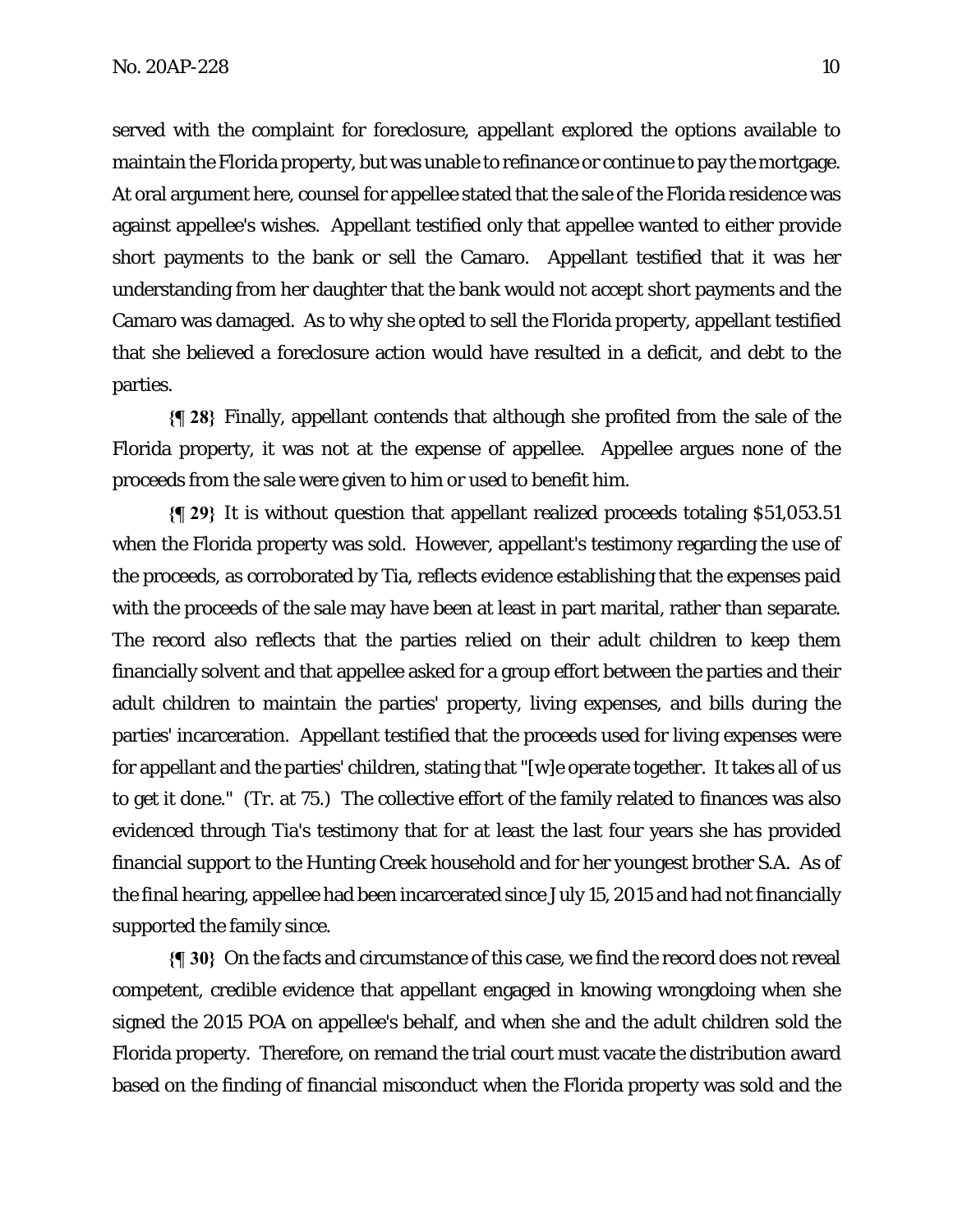served with the complaint for foreclosure, appellant explored the options available to maintain the Florida property, but was unable to refinance or continue to pay the mortgage. At oral argument here, counsel for appellee stated that the sale of the Florida residence was against appellee's wishes. Appellant testified only that appellee wanted to either provide short payments to the bank or sell the Camaro. Appellant testified that it was her understanding from her daughter that the bank would not accept short payments and the Camaro was damaged. As to why she opted to sell the Florida property, appellant testified that she believed a foreclosure action would have resulted in a deficit, and debt to the parties.

**{¶ 28}** Finally, appellant contends that although she profited from the sale of the Florida property, it was not at the expense of appellee. Appellee argues none of the proceeds from the sale were given to him or used to benefit him.

**{¶ 29}** It is without question that appellant realized proceeds totaling \$51,053.51 when the Florida property was sold. However, appellant's testimony regarding the use of the proceeds, as corroborated by Tia, reflects evidence establishing that the expenses paid with the proceeds of the sale may have been at least in part marital, rather than separate. The record also reflects that the parties relied on their adult children to keep them financially solvent and that appellee asked for a group effort between the parties and their adult children to maintain the parties' property, living expenses, and bills during the parties' incarceration. Appellant testified that the proceeds used for living expenses were for appellant and the parties' children, stating that "[w]e operate together. It takes all of us to get it done." (Tr. at 75.) The collective effort of the family related to finances was also evidenced through Tia's testimony that for at least the last four years she has provided financial support to the Hunting Creek household and for her youngest brother S.A. As of the final hearing, appellee had been incarcerated since July 15, 2015 and had not financially supported the family since.

**{¶ 30}** On the facts and circumstance of this case, we find the record does not reveal competent, credible evidence that appellant engaged in knowing wrongdoing when she signed the 2015 POA on appellee's behalf, and when she and the adult children sold the Florida property. Therefore, on remand the trial court must vacate the distribution award based on the finding of financial misconduct when the Florida property was sold and the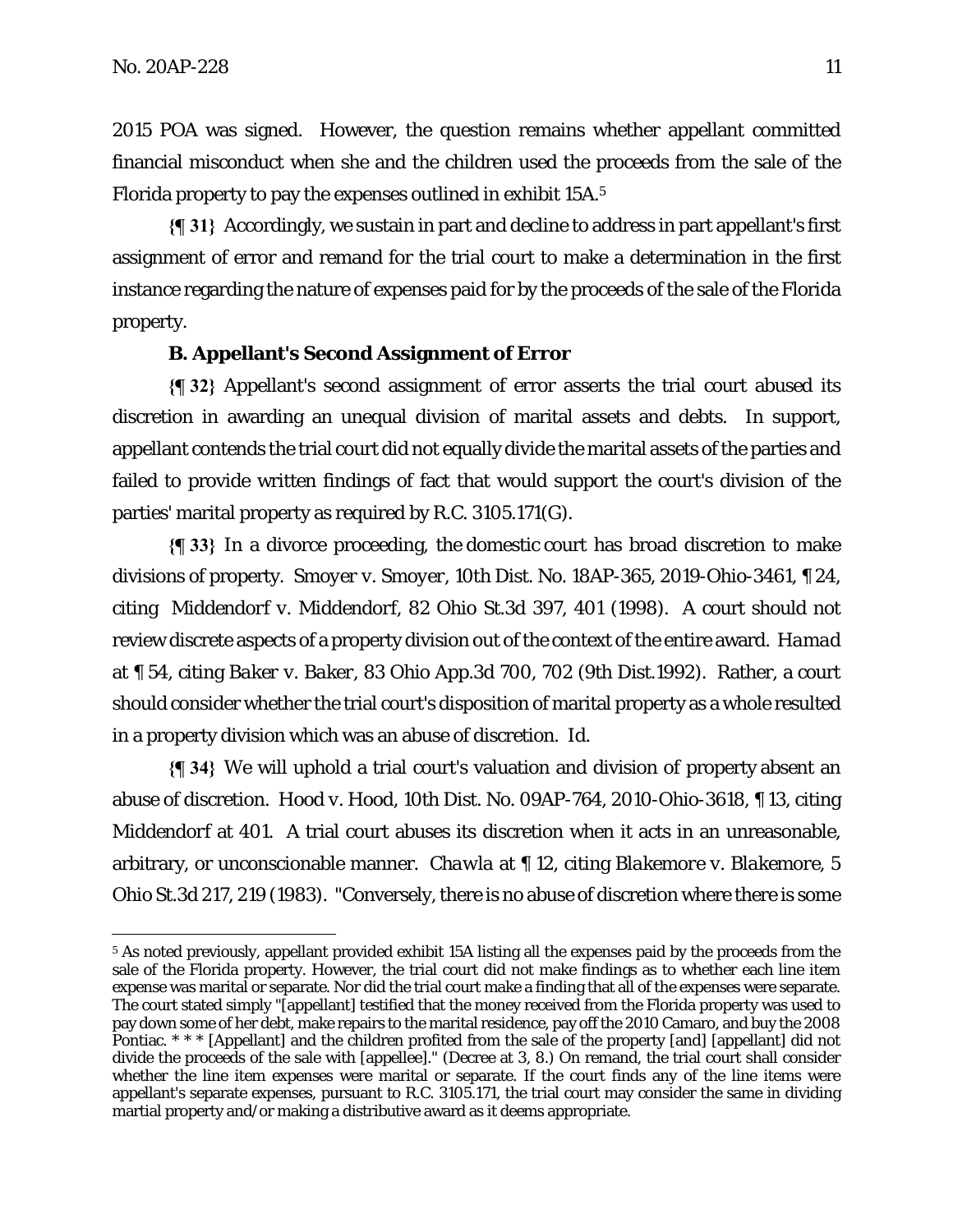2015 POA was signed. However, the question remains whether appellant committed financial misconduct when she and the children used the proceeds from the sale of the Florida property to pay the expenses outlined in exhibit 15A.5

**{¶ 31}** Accordingly, we sustain in part and decline to address in part appellant's first assignment of error and remand for the trial court to make a determination in the first instance regarding the nature of expenses paid for by the proceeds of the sale of the Florida property.

### **B. Appellant's Second Assignment of Error**

**{¶ 32}** Appellant's second assignment of error asserts the trial court abused its discretion in awarding an unequal division of marital assets and debts. In support, appellant contends the trial court did not equally divide the marital assets of the parties and failed to provide written findings of fact that would support the court's division of the parties' marital property as required by R.C. 3105.171(G).

**{¶ 33}** In a divorce proceeding, the domestic court has broad discretion to make divisions of property. *Smoyer v. Smoyer*, 10th Dist. No. 18AP-365, 2019-Ohio-3461, ¶ 24, citing *Middendorf v. Middendorf*, 82 Ohio St.3d 397, 401 (1998). A court should not review discrete aspects of a property division out of the context of the entire award. *Hamad* at ¶ 54, citing *Baker v. Baker*, 83 Ohio App.3d 700, 702 (9th Dist.1992). Rather, a court should consider whether the trial court's disposition of marital property as a whole resulted in a property division which was an abuse of discretion. *Id*.

**{¶ 34}** We will uphold a trial court's valuation and division of property absent an abuse of discretion. *Hood v. Hood*, 10th Dist. No. 09AP-764, 2010-Ohio-3618, ¶ 13, citing *Middendorf* at 401. A trial court abuses its discretion when it acts in an unreasonable, arbitrary, or unconscionable manner. *Chawla* at ¶ 12, citing *Blakemore v. Blakemore*, 5 Ohio St.3d 217, 219 (1983). "Conversely, there is no abuse of discretion where there is some

<sup>5</sup> As noted previously, appellant provided exhibit 15A listing all the expenses paid by the proceeds from the sale of the Florida property. However, the trial court did not make findings as to whether each line item expense was marital or separate. Nor did the trial court make a finding that all of the expenses were separate. The court stated simply "[appellant] testified that the money received from the Florida property was used to pay down some of her debt, make repairs to the marital residence, pay off the 2010 Camaro, and buy the 2008 Pontiac. \* \* \* [Appellant] and the children profited from the sale of the property [and] [appellant] did not divide the proceeds of the sale with [appellee]." (Decree at 3, 8.) On remand, the trial court shall consider whether the line item expenses were marital or separate. If the court finds any of the line items were appellant's separate expenses, pursuant to R.C. 3105.171, the trial court may consider the same in dividing martial property and/or making a distributive award as it deems appropriate.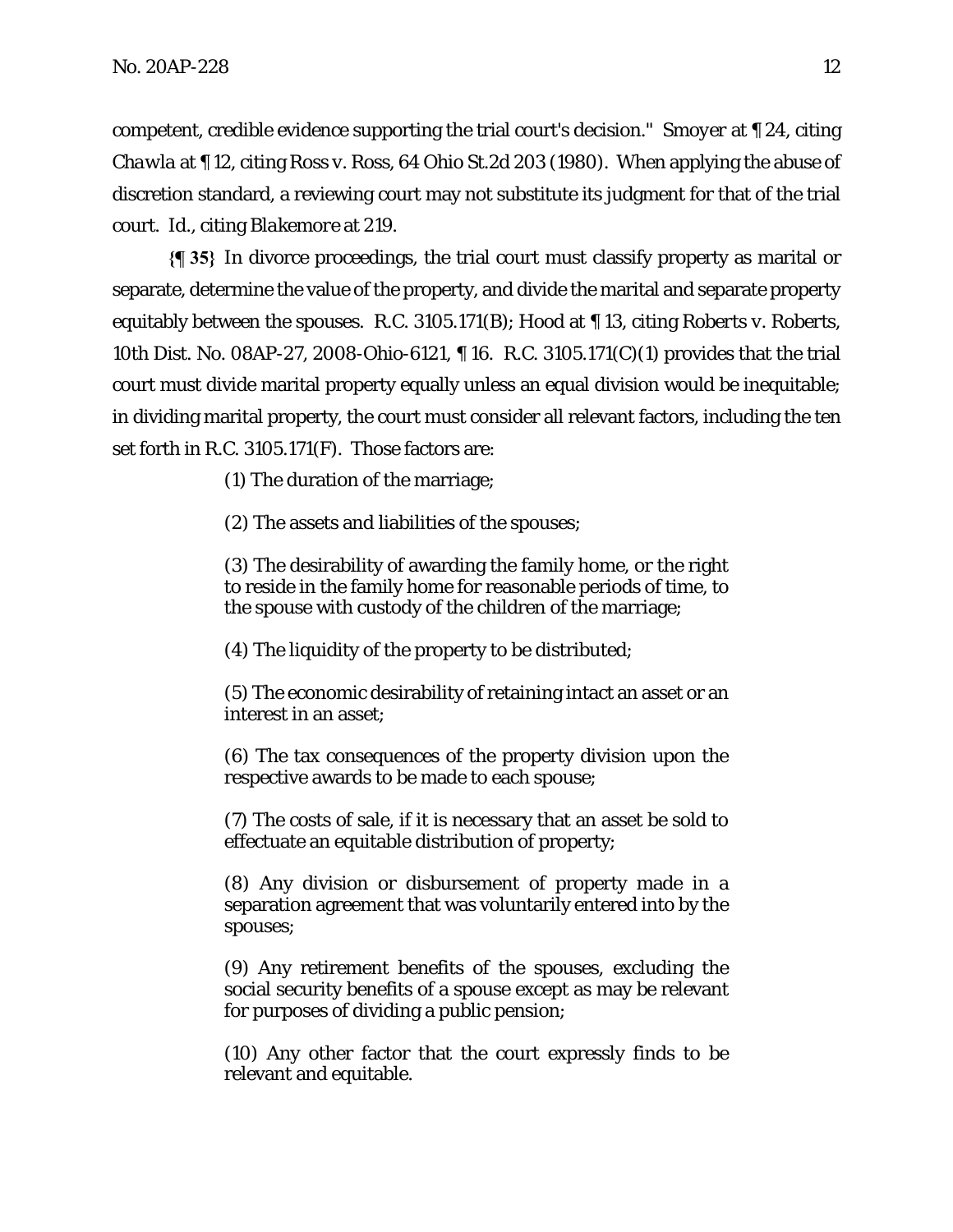competent, credible evidence supporting the trial court's decision." *Smoyer* at ¶ 24, citing *Chawla* at ¶ 12, citing *Ross v. Ross*, 64 Ohio St.2d 203 (1980). When applying the abuse of discretion standard, a reviewing court may not substitute its judgment for that of the trial court. *Id.*, citing *Blakemore* at 219.

**{¶ 35}** In divorce proceedings, the trial court must classify property as marital or separate, determine the value of the property, and divide the marital and separate property equitably between the spouses. R.C. 3105.171(B); *Hood* at ¶ 13, citing *Roberts v. Roberts,*  10th Dist. No. 08AP-27, 2008-Ohio-6121, ¶ 16. R.C. 3105.171(C)(1) provides that the trial court must divide marital property equally unless an equal division would be inequitable; in dividing marital property, the court must consider all relevant factors, including the ten set forth in R.C. 3105.171(F). Those factors are:

(1) The duration of the marriage;

(2) The assets and liabilities of the spouses;

(3) The desirability of awarding the family home, or the right to reside in the family home for reasonable periods of time, to the spouse with custody of the children of the marriage;

(4) The liquidity of the property to be distributed;

(5) The economic desirability of retaining intact an asset or an interest in an asset;

(6) The tax consequences of the property division upon the respective awards to be made to each spouse;

(7) The costs of sale, if it is necessary that an asset be sold to effectuate an equitable distribution of property;

(8) Any division or disbursement of property made in a separation agreement that was voluntarily entered into by the spouses;

(9) Any retirement benefits of the spouses, excluding the social security benefits of a spouse except as may be relevant for purposes of dividing a public pension;

(10) Any other factor that the court expressly finds to be relevant and equitable.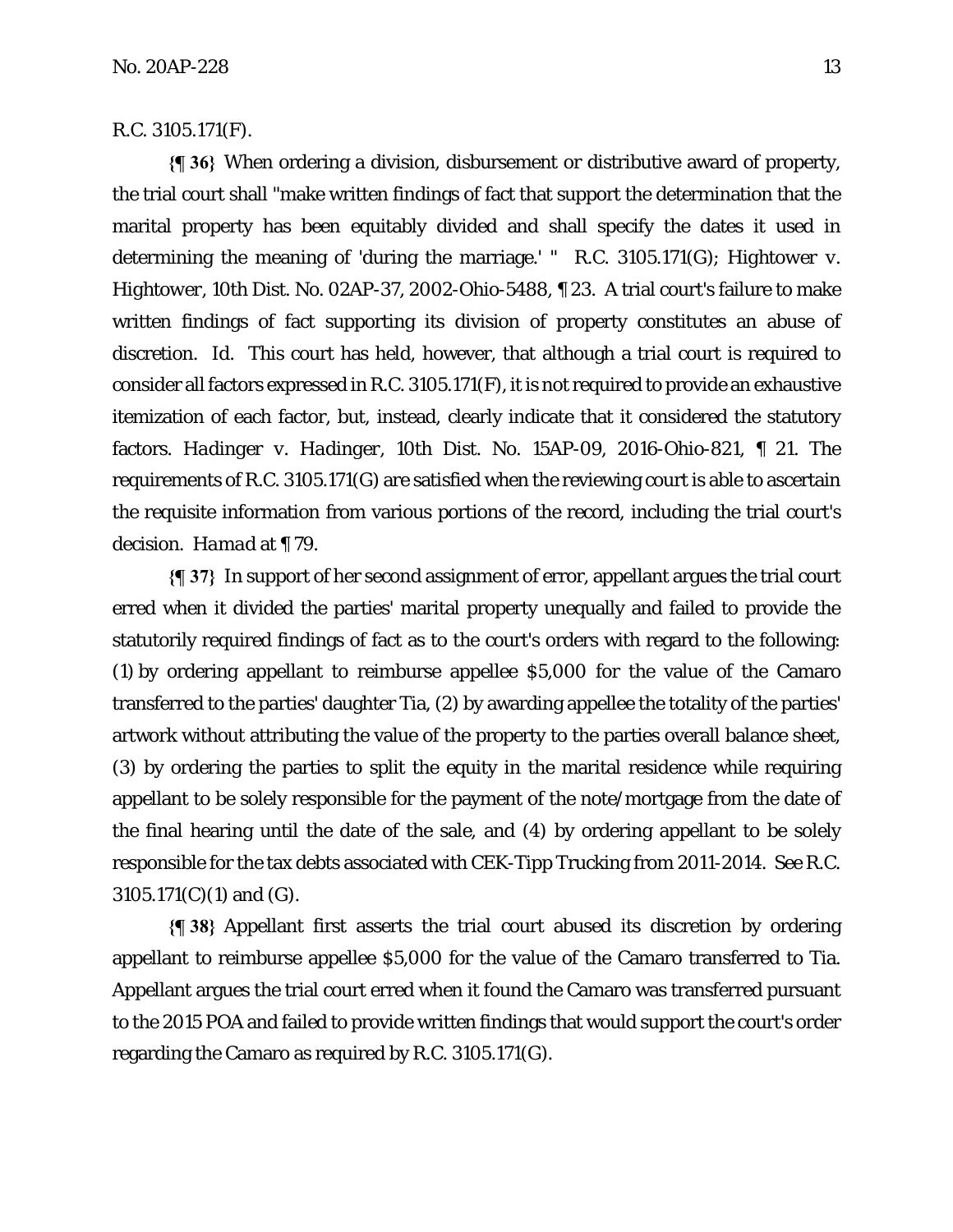### R.C. 3105.171(F).

**{¶ 36}** When ordering a division, disbursement or distributive award of property, the trial court shall "make written findings of fact that support the determination that the marital property has been equitably divided and shall specify the dates it used in determining the meaning of 'during the marriage.' " R.C. 3105.171(G); *Hightower v. Hightower*, 10th Dist. No. 02AP-37, 2002-Ohio-5488, ¶ 23. A trial court's failure to make written findings of fact supporting its division of property constitutes an abuse of discretion. *Id*. This court has held, however, that although a trial court is required to consider all factors expressed in R.C. 3105.171(F), it is not required to provide an exhaustive itemization of each factor, but, instead, clearly indicate that it considered the statutory factors. *Hadinger v. Hadinger*, 10th Dist. No. 15AP-09, 2016-Ohio-821, ¶ 21. The requirements of R.C. 3105.171(G) are satisfied when the reviewing court is able to ascertain the requisite information from various portions of the record, including the trial court's decision. *Hamad* at ¶ 79.

**{¶ 37}** In support of her second assignment of error, appellant argues the trial court erred when it divided the parties' marital property unequally and failed to provide the statutorily required findings of fact as to the court's orders with regard to the following: (1) by ordering appellant to reimburse appellee \$5,000 for the value of the Camaro transferred to the parties' daughter Tia, (2) by awarding appellee the totality of the parties' artwork without attributing the value of the property to the parties overall balance sheet, (3) by ordering the parties to split the equity in the marital residence while requiring appellant to be solely responsible for the payment of the note/mortgage from the date of the final hearing until the date of the sale, and (4) by ordering appellant to be solely responsible for the tax debts associated with CEK-Tipp Trucking from 2011-2014. *See* R.C. 3105.171(C)(1) and (G).

**{¶ 38}** Appellant first asserts the trial court abused its discretion by ordering appellant to reimburse appellee \$5,000 for the value of the Camaro transferred to Tia. Appellant argues the trial court erred when it found the Camaro was transferred pursuant to the 2015 POA and failed to provide written findings that would support the court's order regarding the Camaro as required by R.C. 3105.171(G).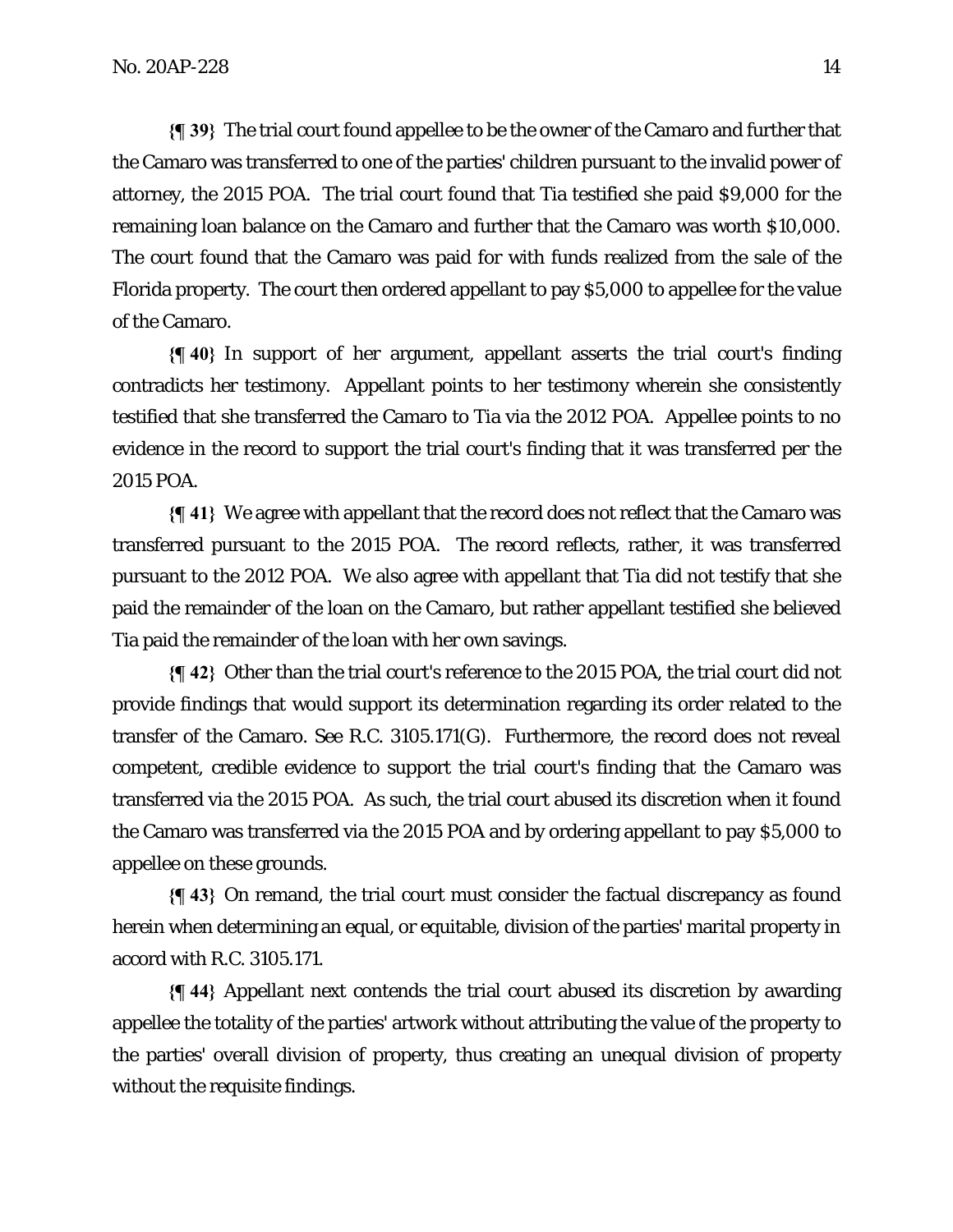**{¶ 39}** The trial court found appellee to be the owner of the Camaro and further that the Camaro was transferred to one of the parties' children pursuant to the invalid power of attorney, the 2015 POA. The trial court found that Tia testified she paid \$9,000 for the remaining loan balance on the Camaro and further that the Camaro was worth \$10,000. The court found that the Camaro was paid for with funds realized from the sale of the Florida property. The court then ordered appellant to pay \$5,000 to appellee for the value of the Camaro.

**{¶ 40}** In support of her argument, appellant asserts the trial court's finding contradicts her testimony. Appellant points to her testimony wherein she consistently testified that she transferred the Camaro to Tia via the 2012 POA. Appellee points to no evidence in the record to support the trial court's finding that it was transferred per the 2015 POA.

**{¶ 41}** We agree with appellant that the record does not reflect that the Camaro was transferred pursuant to the 2015 POA. The record reflects, rather, it was transferred pursuant to the 2012 POA. We also agree with appellant that Tia did not testify that she paid the remainder of the loan on the Camaro, but rather appellant testified she believed Tia paid the remainder of the loan with her own savings.

**{¶ 42}** Other than the trial court's reference to the 2015 POA, the trial court did not provide findings that would support its determination regarding its order related to the transfer of the Camaro. *See* R.C. 3105.171(G). Furthermore, the record does not reveal competent, credible evidence to support the trial court's finding that the Camaro was transferred via the 2015 POA. As such, the trial court abused its discretion when it found the Camaro was transferred via the 2015 POA and by ordering appellant to pay \$5,000 to appellee on these grounds.

**{¶ 43}** On remand, the trial court must consider the factual discrepancy as found herein when determining an equal, or equitable, division of the parties' marital property in accord with R.C. 3105.171.

**{¶ 44}** Appellant next contends the trial court abused its discretion by awarding appellee the totality of the parties' artwork without attributing the value of the property to the parties' overall division of property, thus creating an unequal division of property without the requisite findings.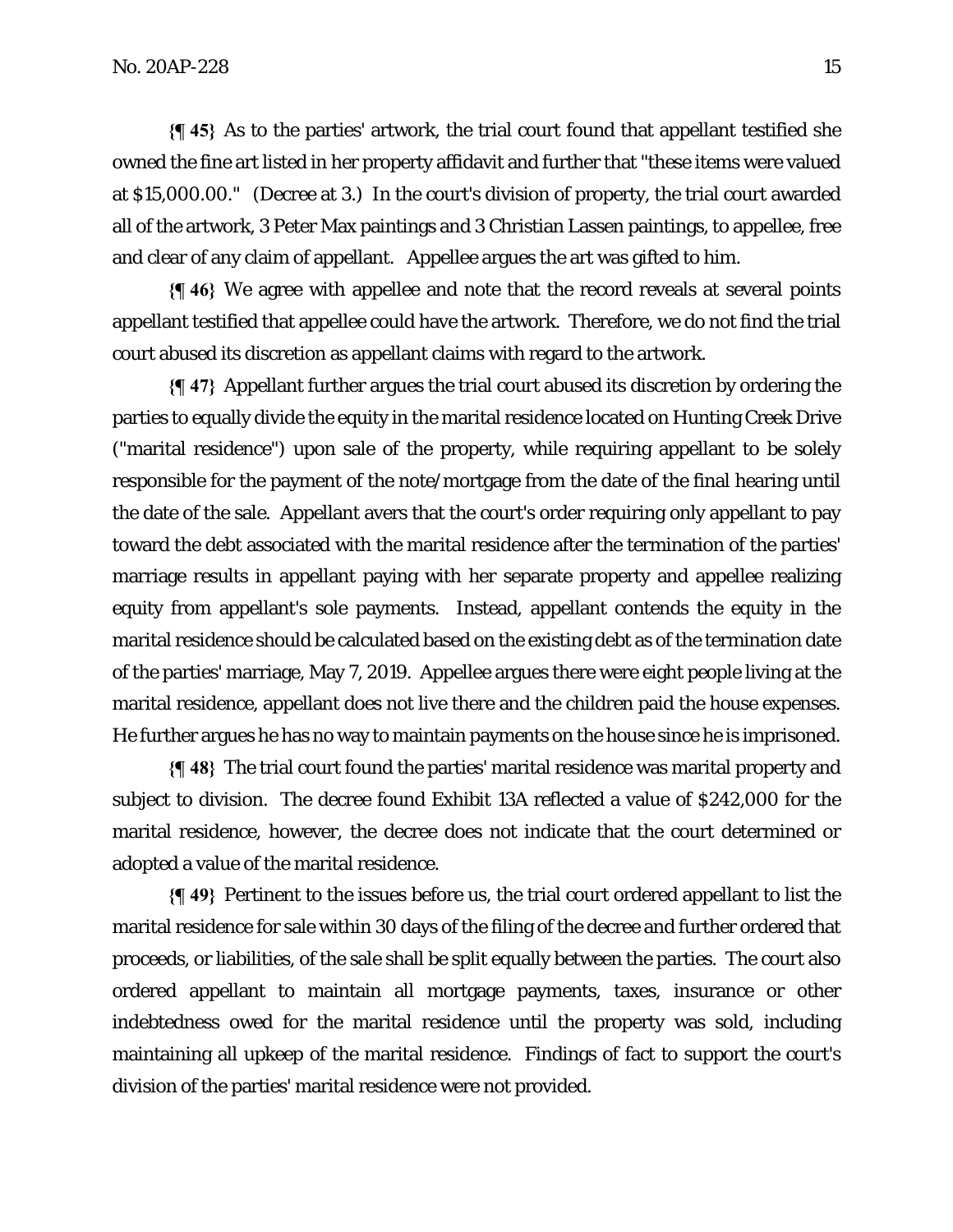**{¶ 45}** As to the parties' artwork, the trial court found that appellant testified she owned the fine art listed in her property affidavit and further that "these items were valued at \$15,000.00." (Decree at 3.) In the court's division of property, the trial court awarded all of the artwork, 3 Peter Max paintings and 3 Christian Lassen paintings, to appellee, free and clear of any claim of appellant. Appellee argues the art was gifted to him.

**{¶ 46}** We agree with appellee and note that the record reveals at several points appellant testified that appellee could have the artwork. Therefore, we do not find the trial court abused its discretion as appellant claims with regard to the artwork.

**{¶ 47}** Appellant further argues the trial court abused its discretion by ordering the parties to equally divide the equity in the marital residence located on Hunting Creek Drive ("marital residence") upon sale of the property, while requiring appellant to be solely responsible for the payment of the note/mortgage from the date of the final hearing until the date of the sale. Appellant avers that the court's order requiring only appellant to pay toward the debt associated with the marital residence after the termination of the parties' marriage results in appellant paying with her separate property and appellee realizing equity from appellant's sole payments. Instead, appellant contends the equity in the marital residence should be calculated based on the existing debt as of the termination date of the parties' marriage, May 7, 2019. Appellee argues there were eight people living at the marital residence, appellant does not live there and the children paid the house expenses. He further argues he has no way to maintain payments on the house since he is imprisoned.

**{¶ 48}** The trial court found the parties' marital residence was marital property and subject to division. The decree found Exhibit 13A reflected a value of \$242,000 for the marital residence, however, the decree does not indicate that the court determined or adopted a value of the marital residence.

**{¶ 49}** Pertinent to the issues before us, the trial court ordered appellant to list the marital residence for sale within 30 days of the filing of the decree and further ordered that proceeds, or liabilities, of the sale shall be split equally between the parties. The court also ordered appellant to maintain all mortgage payments, taxes, insurance or other indebtedness owed for the marital residence until the property was sold, including maintaining all upkeep of the marital residence. Findings of fact to support the court's division of the parties' marital residence were not provided.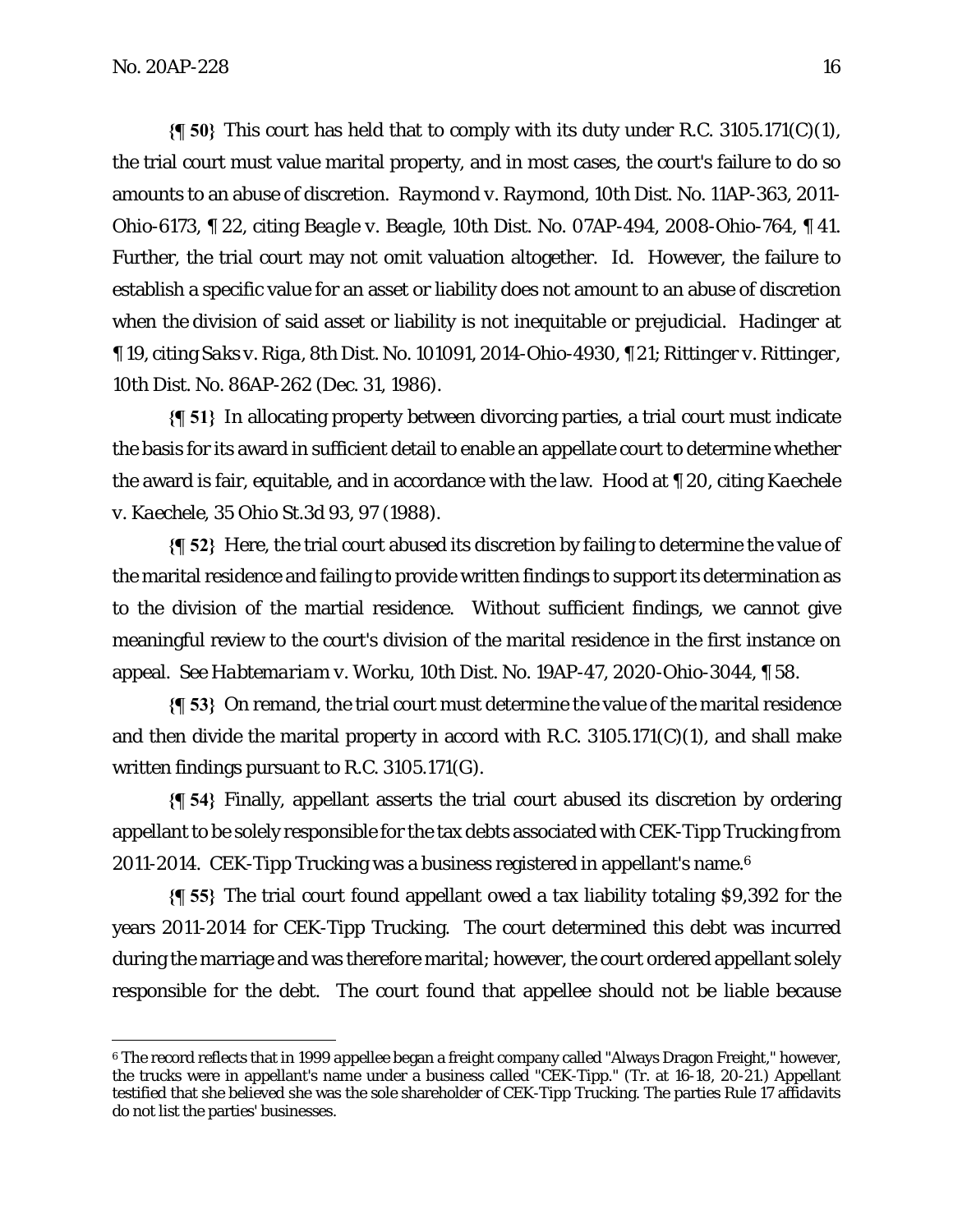**{¶ 50}** This court has held that to comply with its duty under R.C. 3105.171(C)(1), the trial court must value marital property, and in most cases, the court's failure to do so amounts to an abuse of discretion. *Raymond v. Raymond*, 10th Dist. No. 11AP-363, 2011- Ohio-6173, ¶ 22, citing *Beagle v. Beagle*, 10th Dist. No. 07AP-494, 2008-Ohio-764, ¶ 41. Further, the trial court may not omit valuation altogether. *Id*. However, the failure to establish a specific value for an asset or liability does not amount to an abuse of discretion when the division of said asset or liability is not inequitable or prejudicial. *Hadinger* at ¶ 19, citing *Saks v. Riga*, 8th Dist. No. 101091, 2014-Ohio-4930, ¶ 21; *Rittinger v. Rittinger*, 10th Dist. No. 86AP-262 (Dec. 31, 1986).

**{¶ 51}** In allocating property between divorcing parties, a trial court must indicate the basis for its award in sufficient detail to enable an appellate court to determine whether the award is fair, equitable, and in accordance with the law. *Hood* at ¶ 20, citing *Kaechele v. Kaechele*, 35 Ohio St.3d 93, 97 (1988).

**{¶ 52}** Here, the trial court abused its discretion by failing to determine the value of the marital residence and failing to provide written findings to support its determination as to the division of the martial residence. Without sufficient findings, we cannot give meaningful review to the court's division of the marital residence in the first instance on appeal. *See Habtemariam v. Worku*, 10th Dist. No. 19AP-47, 2020-Ohio-3044, ¶ 58.

**{¶ 53}** On remand, the trial court must determine the value of the marital residence and then divide the marital property in accord with R.C. 3105.171(C)(1), and shall make written findings pursuant to R.C. 3105.171(G).

**{¶ 54}** Finally, appellant asserts the trial court abused its discretion by ordering appellant to be solely responsible for the tax debts associated with CEK-Tipp Trucking from 2011-2014. CEK-Tipp Trucking was a business registered in appellant's name.6

**{¶ 55}** The trial court found appellant owed a tax liability totaling \$9,392 for the years 2011-2014 for CEK-Tipp Trucking. The court determined this debt was incurred during the marriage and was therefore marital; however, the court ordered appellant solely responsible for the debt. The court found that appellee should not be liable because

<sup>6</sup> The record reflects that in 1999 appellee began a freight company called "Always Dragon Freight," however, the trucks were in appellant's name under a business called "CEK-Tipp." (Tr. at 16-18, 20-21.) Appellant testified that she believed she was the sole shareholder of CEK-Tipp Trucking. The parties Rule 17 affidavits do not list the parties' businesses.